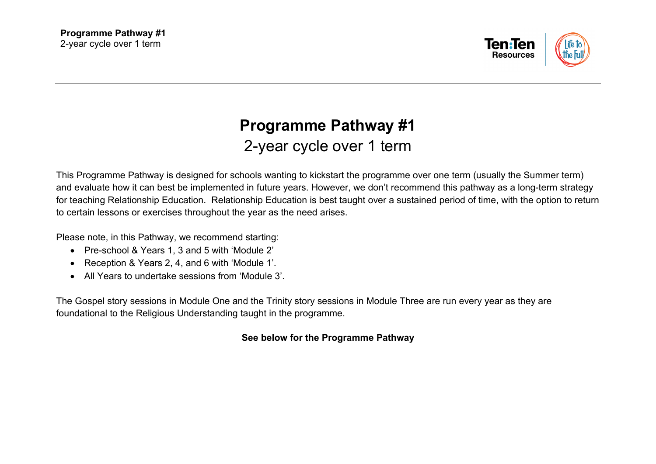

## **Programme Pathway #1**  2-year cycle over 1 term

This Programme Pathway is designed for schools wanting to kickstart the programme over one term (usually the Summer term) and evaluate how it can best be implemented in future years. However, we don't recommend this pathway as a long-term strategy for teaching Relationship Education. Relationship Education is best taught over a sustained period of time, with the option to return to certain lessons or exercises throughout the year as the need arises.

Please note, in this Pathway, we recommend starting:

- Pre-school & Years 1, 3 and 5 with 'Module 2'
- Reception & Years 2, 4, and 6 with 'Module 1'.
- All Years to undertake sessions from 'Module 3'.

The Gospel story sessions in Module One and the Trinity story sessions in Module Three are run every year as they are foundational to the Religious Understanding taught in the programme.

## **See below for the Programme Pathway**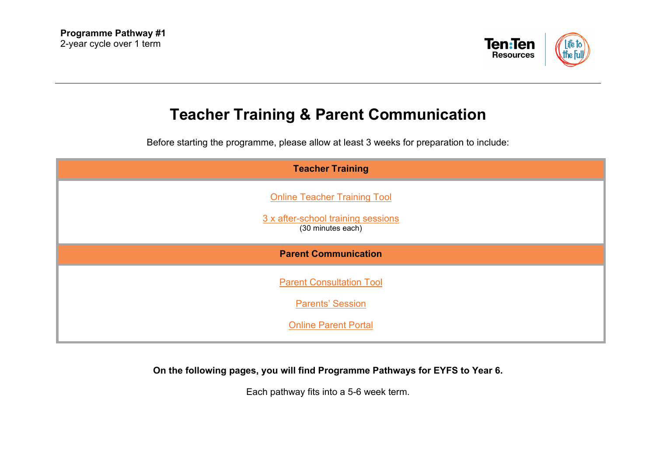

## **Teacher Training & Parent Communication**

Before starting the programme, please allow at least 3 weeks for preparation to include:

| <b>Teacher Training</b>                                 |
|---------------------------------------------------------|
| <b>Online Teacher Training Tool</b>                     |
| 3 x after-school training sessions<br>(30 minutes each) |
| <b>Parent Communication</b>                             |
| <b>Parent Consultation Tool</b>                         |
| <b>Parents' Session</b>                                 |
| <b>Online Parent Portal</b>                             |

**On the following pages, you will find Programme Pathways for EYFS to Year 6.**

Each pathway fits into a 5-6 week term.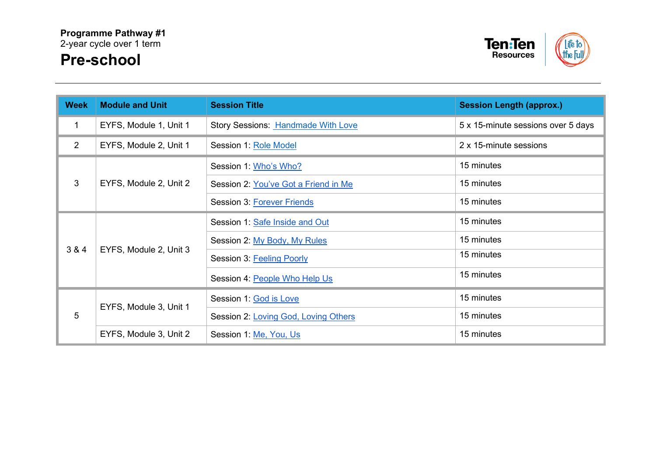

| <b>Week</b>    | <b>Module and Unit</b> | <b>Session Title</b>                 | <b>Session Length (approx.)</b>    |
|----------------|------------------------|--------------------------------------|------------------------------------|
| 1              | EYFS, Module 1, Unit 1 | Story Sessions: Handmade With Love   | 5 x 15-minute sessions over 5 days |
| $\overline{2}$ | EYFS, Module 2, Unit 1 | Session 1: Role Model                | 2 x 15-minute sessions             |
|                | EYFS, Module 2, Unit 2 | Session 1: Who's Who?                | 15 minutes                         |
| 3              |                        | Session 2: You've Got a Friend in Me | 15 minutes                         |
|                |                        | <b>Session 3: Forever Friends</b>    | 15 minutes                         |
|                | EYFS, Module 2, Unit 3 | Session 1: Safe Inside and Out       | 15 minutes                         |
|                |                        | Session 2: My Body, My Rules         | 15 minutes                         |
| 3 & 4          |                        | Session 3: Feeling Poorly            | 15 minutes                         |
|                |                        | Session 4: People Who Help Us        | 15 minutes                         |
| 5              | EYFS, Module 3, Unit 1 | Session 1: God is Love               | 15 minutes                         |
|                |                        | Session 2: Loving God, Loving Others | 15 minutes                         |
|                | EYFS, Module 3, Unit 2 | Session 1: Me, You, Us               | 15 minutes                         |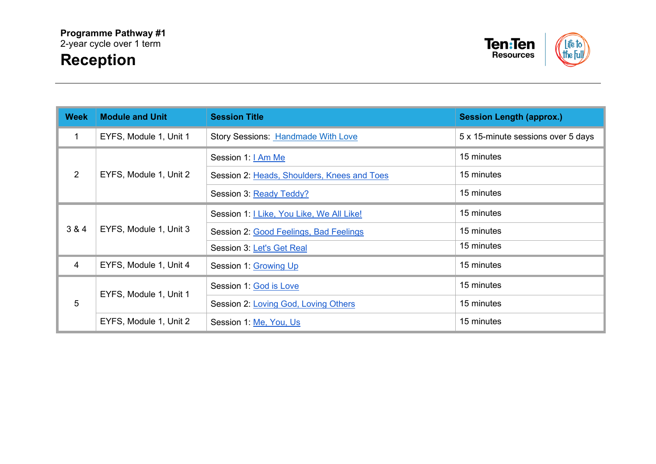

| <b>Week</b> | <b>Module and Unit</b> | <b>Session Title</b>                        | <b>Session Length (approx.)</b>    |
|-------------|------------------------|---------------------------------------------|------------------------------------|
| 1           | EYFS, Module 1, Unit 1 | <b>Story Sessions: Handmade With Love</b>   | 5 x 15-minute sessions over 5 days |
|             | EYFS, Module 1, Unit 2 | Session 1: <b>  Am Me</b>                   | 15 minutes                         |
| 2           |                        | Session 2: Heads, Shoulders, Knees and Toes | 15 minutes                         |
|             |                        | Session 3: Ready Teddy?                     | 15 minutes                         |
| 3 & 4       | EYFS, Module 1, Unit 3 | Session 1:   Like, You Like, We All Like!   | 15 minutes                         |
|             |                        | Session 2: Good Feelings, Bad Feelings      | 15 minutes                         |
|             |                        | Session 3: Let's Get Real                   | 15 minutes                         |
| 4           | EYFS, Module 1, Unit 4 | Session 1: Growing Up                       | 15 minutes                         |
| 5           | EYFS, Module 1, Unit 1 | Session 1: God is Love                      | 15 minutes                         |
|             |                        | Session 2: Loving God, Loving Others        | 15 minutes                         |
|             | EYFS, Module 1, Unit 2 | Session 1: Me, You, Us                      | 15 minutes                         |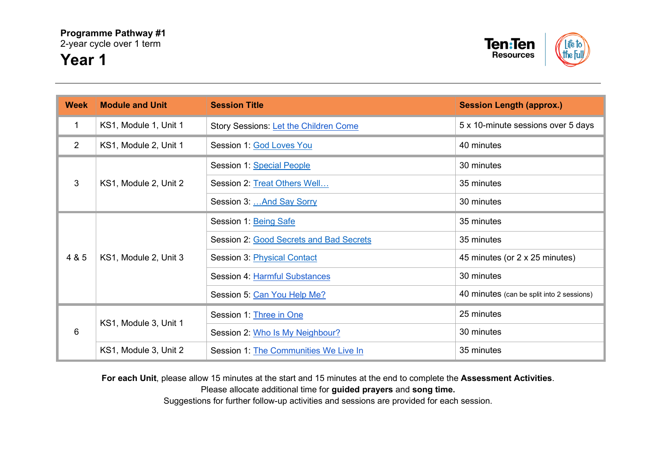

| <b>Week</b> | <b>Module and Unit</b> | <b>Session Title</b>                    | <b>Session Length (approx.)</b>           |
|-------------|------------------------|-----------------------------------------|-------------------------------------------|
| 1           | KS1, Module 1, Unit 1  | Story Sessions: Let the Children Come   | 5 x 10-minute sessions over 5 days        |
| 2           | KS1, Module 2, Unit 1  | Session 1: God Loves You                | 40 minutes                                |
|             | KS1, Module 2, Unit 2  | Session 1: Special People               | 30 minutes                                |
| 3           |                        | Session 2: Treat Others Well            | 35 minutes                                |
|             |                        | Session 3:  And Say Sorry               | 30 minutes                                |
|             | KS1, Module 2, Unit 3  | Session 1: Being Safe                   | 35 minutes                                |
|             |                        | Session 2: Good Secrets and Bad Secrets | 35 minutes                                |
| 4 & 5       |                        | Session 3: Physical Contact             | 45 minutes (or 2 x 25 minutes)            |
|             |                        | Session 4: Harmful Substances           | 30 minutes                                |
|             |                        | Session 5: Can You Help Me?             | 40 minutes (can be split into 2 sessions) |
| 6           | KS1, Module 3, Unit 1  | Session 1: Three in One                 | 25 minutes                                |
|             |                        | Session 2: Who Is My Neighbour?         | 30 minutes                                |
|             | KS1, Module 3, Unit 2  | Session 1: The Communities We Live In   | 35 minutes                                |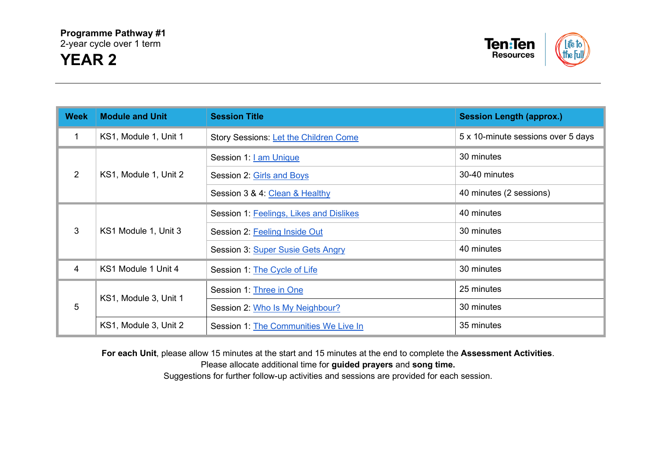

| <b>Week</b> | <b>Module and Unit</b> | <b>Session Title</b>                    | <b>Session Length (approx.)</b>    |
|-------------|------------------------|-----------------------------------------|------------------------------------|
| $\mathbf 1$ | KS1, Module 1, Unit 1  | Story Sessions: Let the Children Come   | 5 x 10-minute sessions over 5 days |
|             | KS1, Module 1, Unit 2  | Session 1: <u>I am Unique</u>           | 30 minutes                         |
| 2           |                        | Session 2: Girls and Boys               | 30-40 minutes                      |
|             |                        | Session 3 & 4: Clean & Healthy          | 40 minutes (2 sessions)            |
| 3           | KS1 Module 1, Unit 3   | Session 1: Feelings, Likes and Dislikes | 40 minutes                         |
|             |                        | Session 2: Feeling Inside Out           | 30 minutes                         |
|             |                        | Session 3: Super Susie Gets Angry       | 40 minutes                         |
| 4           | KS1 Module 1 Unit 4    | Session 1: The Cycle of Life            | 30 minutes                         |
| 5           | KS1, Module 3, Unit 1  | Session 1: Three in One                 | 25 minutes                         |
|             |                        | Session 2: Who Is My Neighbour?         | 30 minutes                         |
|             | KS1, Module 3, Unit 2  | Session 1: The Communities We Live In   | 35 minutes                         |

**For each Unit**, please allow 15 minutes at the start and 15 minutes at the end to complete the **Assessment Activities**.

Please allocate additional time for **guided prayers** and **song time.**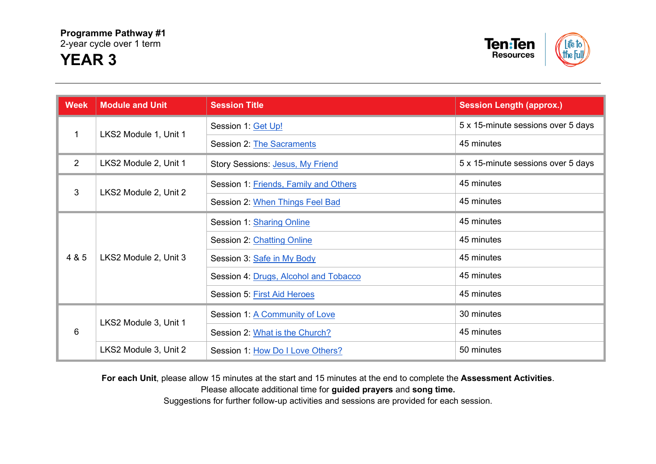



| <b>Week</b> | <b>Module and Unit</b> | <b>Session Title</b>                  | <b>Session Length (approx.)</b>    |
|-------------|------------------------|---------------------------------------|------------------------------------|
| 1           | LKS2 Module 1, Unit 1  | Session 1: Get Up!                    | 5 x 15-minute sessions over 5 days |
|             |                        | Session 2: The Sacraments             | 45 minutes                         |
| 2           | LKS2 Module 2, Unit 1  | Story Sessions: Jesus, My Friend      | 5 x 15-minute sessions over 5 days |
| 3           |                        | Session 1: Friends, Family and Others | 45 minutes                         |
|             | LKS2 Module 2, Unit 2  | Session 2: When Things Feel Bad       | 45 minutes                         |
|             | LKS2 Module 2, Unit 3  | Session 1: Sharing Online             | 45 minutes                         |
|             |                        | Session 2: Chatting Online            | 45 minutes                         |
| 4 & 5       |                        | Session 3: Safe in My Body            | 45 minutes                         |
|             |                        | Session 4: Drugs, Alcohol and Tobacco | 45 minutes                         |
|             |                        | Session 5: First Aid Heroes           | 45 minutes                         |
| 6           | LKS2 Module 3, Unit 1  | Session 1: A Community of Love        | 30 minutes                         |
|             |                        | Session 2: What is the Church?        | 45 minutes                         |
|             | LKS2 Module 3, Unit 2  | Session 1: How Do I Love Others?      | 50 minutes                         |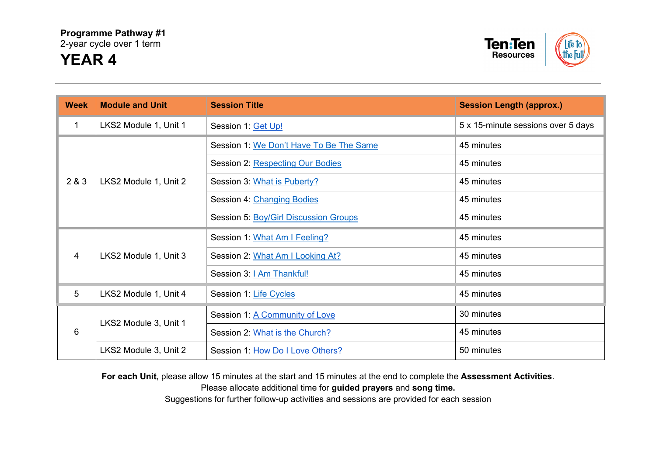

## **Week Module and Unit Session Title Session Length (approx.)** 1 LKS2 Module 1, Unit 1 Session 1: [Get Up!](https://www.tentenresources.co.uk/relationship-education-subscribers/the-programme/lks2-mod1/get-up/) 5 x 15-minute sessions over 5 days  $200 \times 1000$  Module 1, Unit 2 Session 1: [We Don't Have To Be The Same](https://www.tentenresources.co.uk/relationship-education-subscribers/the-programme/lks2-mod1/we-dont-have-to-be-the-same/) 45 minutes Session 2: [Respecting Our Bodies](https://www.tentenresources.co.uk/relationship-education-subscribers/the-programme/lks2-mod1/respecting-our-bodies/) 45 minutes Session 3: [What is Puberty?](https://www.tentenresources.co.uk/relationship-education-subscribers/the-programme/lks2-mod1/what-is-puberty/) 45 minutes 4 LKS2 Module 1, Unit 3

| 2 Q J          | LNOZ MOUDE 1, UTIILZ  | OBSSION J. WHALLS FUDBITY!                   | 40 IIIIIIUU G |
|----------------|-----------------------|----------------------------------------------|---------------|
|                |                       | Session 4: Changing Bodies                   | 45 minutes    |
|                |                       | <b>Session 5: Boy/Girl Discussion Groups</b> | 45 minutes    |
|                |                       | Session 1: What Am I Feeling?                | 45 minutes    |
| $\overline{4}$ | LKS2 Module 1, Unit 3 | Session 2: What Am I Looking At?             | 45 minutes    |
|                |                       | Session 3:   Am Thankful!                    | 45 minutes    |
| 5              | LKS2 Module 1, Unit 4 | Session 1: Life Cycles                       | 45 minutes    |
|                | LKS2 Module 3, Unit 1 | Session 1: A Community of Love               | 30 minutes    |
| 6              |                       | Session 2: What is the Church?               | 45 minutes    |
|                | LKS2 Module 3, Unit 2 | Session 1: How Do I Love Others?             | 50 minutes    |

**For each Unit**, please allow 15 minutes at the start and 15 minutes at the end to complete the **Assessment Activities**.

Please allocate additional time for **guided prayers** and **song time.**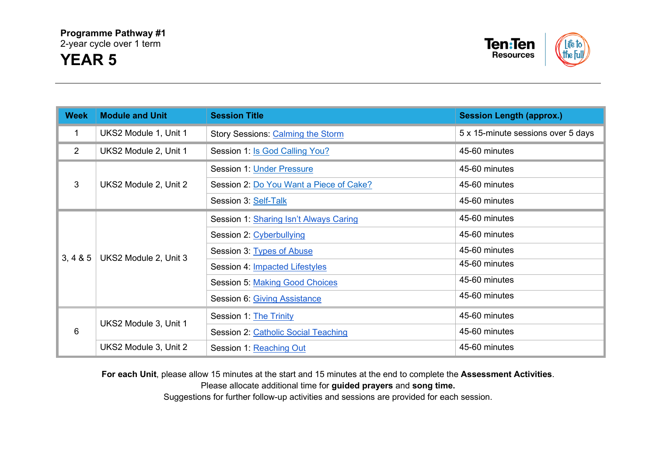

| <b>Week</b>    | <b>Module and Unit</b> | <b>Session Title</b>                     | <b>Session Length (approx.)</b>    |
|----------------|------------------------|------------------------------------------|------------------------------------|
| 1              | UKS2 Module 1, Unit 1  | <b>Story Sessions: Calming the Storm</b> | 5 x 15-minute sessions over 5 days |
| $\overline{2}$ | UKS2 Module 2, Unit 1  | Session 1: Is God Calling You?           | 45-60 minutes                      |
|                | UKS2 Module 2, Unit 2  | Session 1: Under Pressure                | 45-60 minutes                      |
| 3              |                        | Session 2: Do You Want a Piece of Cake?  | 45-60 minutes                      |
|                |                        | Session 3: Self-Talk                     | 45-60 minutes                      |
|                | UKS2 Module 2, Unit 3  | Session 1: Sharing Isn't Always Caring   | 45-60 minutes                      |
|                |                        | Session 2: Cyberbullying                 | 45-60 minutes                      |
| 3, 4 & 8 & 5   |                        | Session 3: Types of Abuse                | 45-60 minutes                      |
|                |                        | Session 4: Impacted Lifestyles           | 45-60 minutes                      |
|                |                        | <b>Session 5: Making Good Choices</b>    | 45-60 minutes                      |
|                |                        | Session 6: Giving Assistance             | 45-60 minutes                      |
| 6              | UKS2 Module 3, Unit 1  | Session 1: The Trinity                   | 45-60 minutes                      |
|                |                        | Session 2: Catholic Social Teaching      | 45-60 minutes                      |
|                | UKS2 Module 3, Unit 2  | Session 1: Reaching Out                  | 45-60 minutes                      |